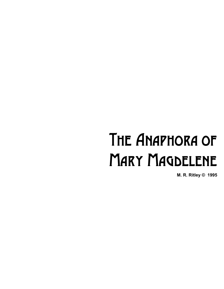## The Anaphora of **MARY MAGDELENE**

**M. R. Ritley © 1995**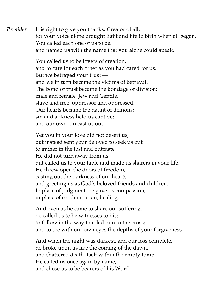**Presider** It is right to give you thanks, Creator of all, for your voice alone brought light and life to birth when all began. You called each one of us to be, and named us with the name that you alone could speak.

> You called us to be lovers of creation, and to care for each other as you had cared for us. But we betrayed your trust and we in turn became the victims of betrayal. The bond of trust became the bondage of division: male and female, Jew and Gentile, slave and free, oppressor and oppressed. Our hearts became the haunt of demons; sin and sickness held us captive; and our own kin cast us out.

Yet you in your love did not desert us, but instead sent your Beloved to seek us out, to gather in the lost and outcaste. He did not turn away from us, but called us to your table and made us sharers in your life. He threw open the doors of freedom, casting out the darkness of our hearts and greeting us as God's beloved friends and children. In place of judgment, he gave us compassion; in place of condemnation, healing.

And even as he came to share our suffering, he called us to be witnesses to his; to follow in the way that led him to the cross; and to see with our own eyes the depths of your forgiveness.

And when the night was darkest, and our loss complete, he broke upon us like the coming of the dawn, and shattered death itself within the empty tomb. He called us once again by name, and chose us to be bearers of his Word.